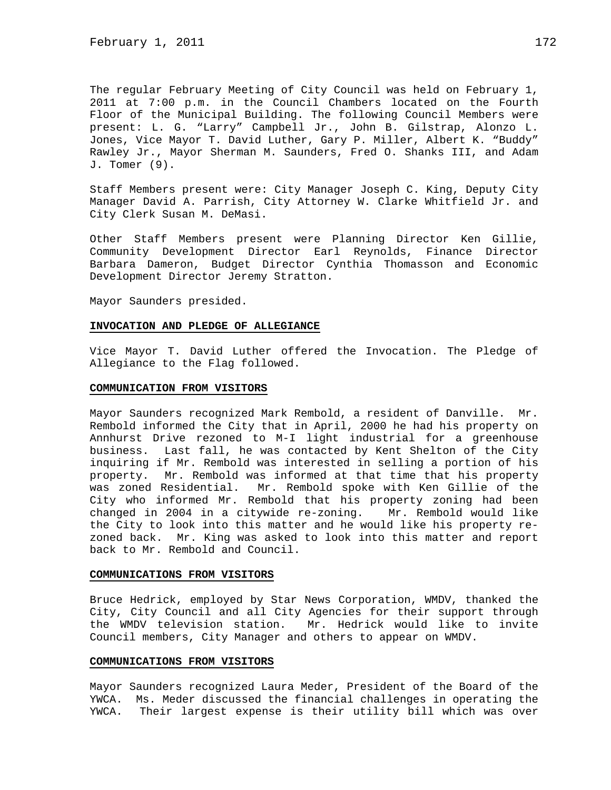The regular February Meeting of City Council was held on February 1, 2011 at 7:00 p.m. in the Council Chambers located on the Fourth Floor of the Municipal Building. The following Council Members were present: L. G. "Larry" Campbell Jr., John B. Gilstrap, Alonzo L. Jones, Vice Mayor T. David Luther, Gary P. Miller, Albert K. "Buddy" Rawley Jr., Mayor Sherman M. Saunders, Fred O. Shanks III, and Adam J. Tomer (9).

Staff Members present were: City Manager Joseph C. King, Deputy City Manager David A. Parrish, City Attorney W. Clarke Whitfield Jr. and City Clerk Susan M. DeMasi.

Other Staff Members present were Planning Director Ken Gillie, Community Development Director Earl Reynolds, Finance Director Barbara Dameron, Budget Director Cynthia Thomasson and Economic Development Director Jeremy Stratton.

Mayor Saunders presided.

#### **INVOCATION AND PLEDGE OF ALLEGIANCE**

Vice Mayor T. David Luther offered the Invocation. The Pledge of Allegiance to the Flag followed.

#### **COMMUNICATION FROM VISITORS**

Mayor Saunders recognized Mark Rembold, a resident of Danville. Mr. Rembold informed the City that in April, 2000 he had his property on Annhurst Drive rezoned to M-I light industrial for a greenhouse business. Last fall, he was contacted by Kent Shelton of the City inquiring if Mr. Rembold was interested in selling a portion of his property. Mr. Rembold was informed at that time that his property was zoned Residential. Mr. Rembold spoke with Ken Gillie of the City who informed Mr. Rembold that his property zoning had been changed in 2004 in a citywide re-zoning. Mr. Rembold would like the City to look into this matter and he would like his property rezoned back. Mr. King was asked to look into this matter and report back to Mr. Rembold and Council.

# **COMMUNICATIONS FROM VISITORS**

Bruce Hedrick, employed by Star News Corporation, WMDV, thanked the City, City Council and all City Agencies for their support through the WMDV television station. Mr. Hedrick would like to invite Council members, City Manager and others to appear on WMDV.

### **COMMUNICATIONS FROM VISITORS**

Mayor Saunders recognized Laura Meder, President of the Board of the YWCA. Ms. Meder discussed the financial challenges in operating the YWCA. Their largest expense is their utility bill which was over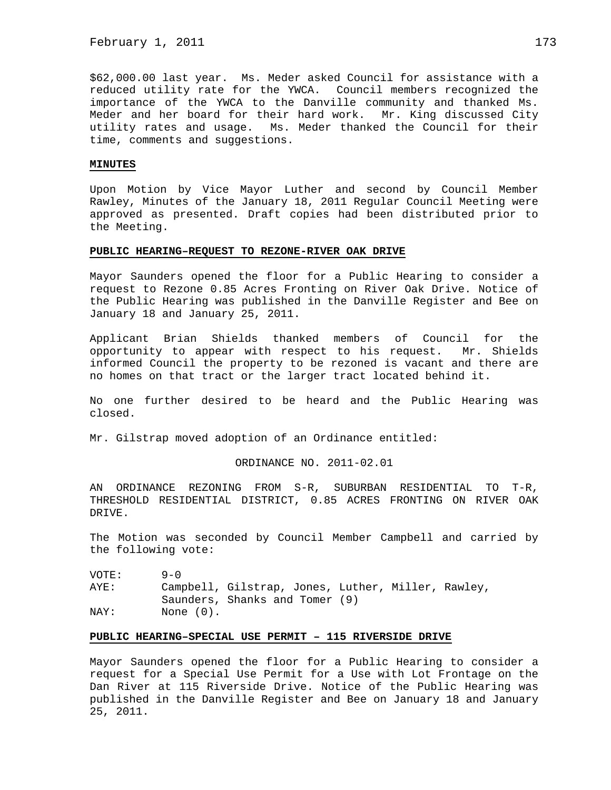\$62,000.00 last year. Ms. Meder asked Council for assistance with a reduced utility rate for the YWCA. Council members recognized the importance of the YWCA to the Danville community and thanked Ms. Meder and her board for their hard work. Mr. King discussed City utility rates and usage. Ms. Meder thanked the Council for their time, comments and suggestions.

### **MINUTES**

Upon Motion by Vice Mayor Luther and second by Council Member Rawley, Minutes of the January 18, 2011 Regular Council Meeting were approved as presented. Draft copies had been distributed prior to the Meeting.

### **PUBLIC HEARING–REQUEST TO REZONE-RIVER OAK DRIVE**

Mayor Saunders opened the floor for a Public Hearing to consider a request to Rezone 0.85 Acres Fronting on River Oak Drive. Notice of the Public Hearing was published in the Danville Register and Bee on January 18 and January 25, 2011.

Applicant Brian Shields thanked members of Council for the opportunity to appear with respect to his request. Mr. Shields informed Council the property to be rezoned is vacant and there are no homes on that tract or the larger tract located behind it.

No one further desired to be heard and the Public Hearing was closed.

Mr. Gilstrap moved adoption of an Ordinance entitled:

## ORDINANCE NO. 2011-02.01

AN ORDINANCE REZONING FROM S-R, SUBURBAN RESIDENTIAL TO T-R, THRESHOLD RESIDENTIAL DISTRICT, 0.85 ACRES FRONTING ON RIVER OAK DRIVE.

The Motion was seconded by Council Member Campbell and carried by the following vote:

VOTE: 9-0 AYE: Campbell, Gilstrap, Jones, Luther, Miller, Rawley, Saunders, Shanks and Tomer (9) NAY: None  $(0)$ .

### **PUBLIC HEARING–SPECIAL USE PERMIT – 115 RIVERSIDE DRIVE**

Mayor Saunders opened the floor for a Public Hearing to consider a request for a Special Use Permit for a Use with Lot Frontage on the Dan River at 115 Riverside Drive. Notice of the Public Hearing was published in the Danville Register and Bee on January 18 and January 25, 2011.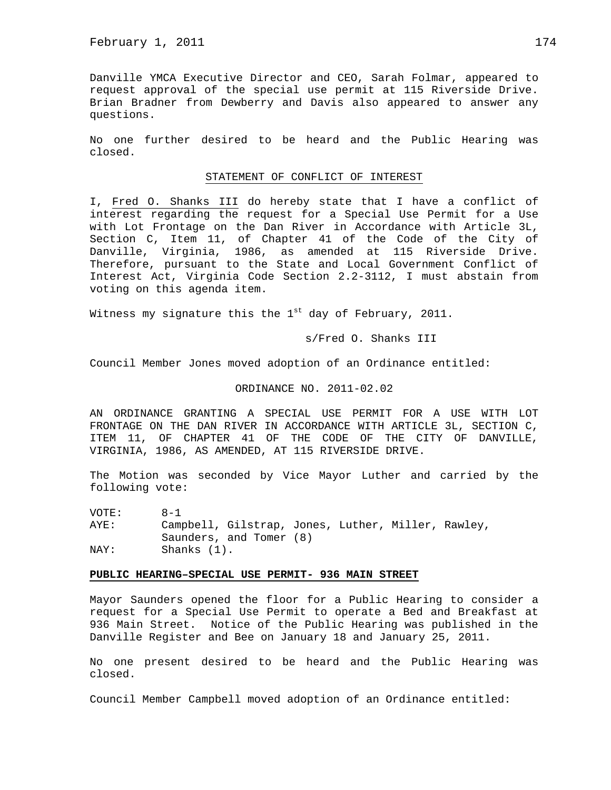Danville YMCA Executive Director and CEO, Sarah Folmar, appeared to request approval of the special use permit at 115 Riverside Drive. Brian Bradner from Dewberry and Davis also appeared to answer any questions.

No one further desired to be heard and the Public Hearing was closed.

#### STATEMENT OF CONFLICT OF INTEREST

I, Fred O. Shanks III do hereby state that I have a conflict of interest regarding the request for a Special Use Permit for a Use with Lot Frontage on the Dan River in Accordance with Article 3L, Section C, Item 11, of Chapter 41 of the Code of the City of Danville, Virginia, 1986, as amended at 115 Riverside Drive. Therefore, pursuant to the State and Local Government Conflict of Interest Act, Virginia Code Section 2.2-3112, I must abstain from voting on this agenda item.

Witness my signature this the  $1<sup>st</sup>$  day of February, 2011.

s/Fred O. Shanks III

Council Member Jones moved adoption of an Ordinance entitled:

## ORDINANCE NO. 2011-02.02

AN ORDINANCE GRANTING A SPECIAL USE PERMIT FOR A USE WITH LOT FRONTAGE ON THE DAN RIVER IN ACCORDANCE WITH ARTICLE 3L, SECTION C, ITEM 11, OF CHAPTER 41 OF THE CODE OF THE CITY OF DANVILLE, VIRGINIA, 1986, AS AMENDED, AT 115 RIVERSIDE DRIVE.

The Motion was seconded by Vice Mayor Luther and carried by the following vote:

VOTE: 8-1 AYE: Campbell, Gilstrap, Jones, Luther, Miller, Rawley, Saunders, and Tomer (8) NAY: Shanks (1).

### **PUBLIC HEARING–SPECIAL USE PERMIT- 936 MAIN STREET**

Mayor Saunders opened the floor for a Public Hearing to consider a request for a Special Use Permit to operate a Bed and Breakfast at 936 Main Street. Notice of the Public Hearing was published in the Danville Register and Bee on January 18 and January 25, 2011.

No one present desired to be heard and the Public Hearing was closed.

Council Member Campbell moved adoption of an Ordinance entitled: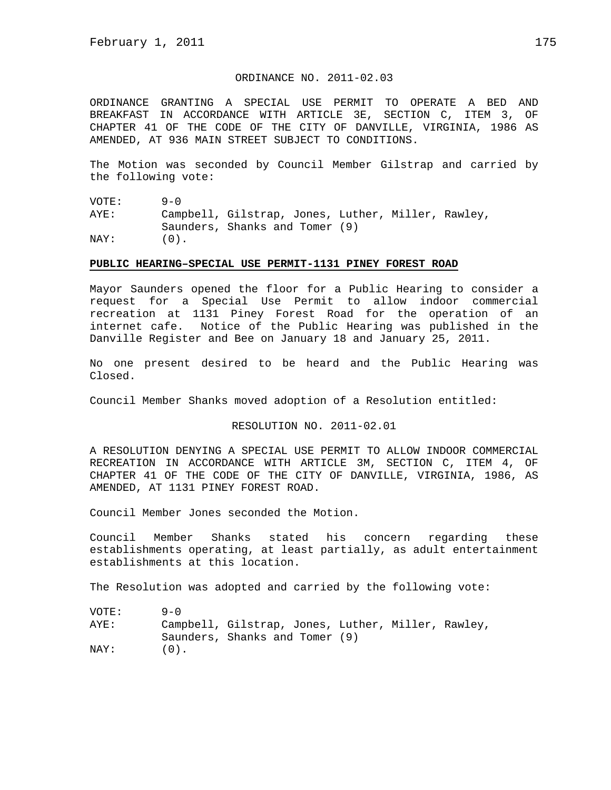# ORDINANCE NO. 2011-02.03

ORDINANCE GRANTING A SPECIAL USE PERMIT TO OPERATE A BED AND BREAKFAST IN ACCORDANCE WITH ARTICLE 3E, SECTION C, ITEM 3, OF CHAPTER 41 OF THE CODE OF THE CITY OF DANVILLE, VIRGINIA, 1986 AS AMENDED, AT 936 MAIN STREET SUBJECT TO CONDITIONS.

The Motion was seconded by Council Member Gilstrap and carried by the following vote:

VOTE: 9-0 AYE: Campbell, Gilstrap, Jones, Luther, Miller, Rawley, Saunders, Shanks and Tomer (9)  $\text{NAY}:$  (0).

### **PUBLIC HEARING–SPECIAL USE PERMIT-1131 PINEY FOREST ROAD**

Mayor Saunders opened the floor for a Public Hearing to consider a request for a Special Use Permit to allow indoor commercial recreation at 1131 Piney Forest Road for the operation of an internet cafe. Notice of the Public Hearing was published in the Danville Register and Bee on January 18 and January 25, 2011.

No one present desired to be heard and the Public Hearing was Closed.

Council Member Shanks moved adoption of a Resolution entitled:

RESOLUTION NO. 2011-02.01

A RESOLUTION DENYING A SPECIAL USE PERMIT TO ALLOW INDOOR COMMERCIAL RECREATION IN ACCORDANCE WITH ARTICLE 3M, SECTION C, ITEM 4, OF CHAPTER 41 OF THE CODE OF THE CITY OF DANVILLE, VIRGINIA, 1986, AS AMENDED, AT 1131 PINEY FOREST ROAD.

Council Member Jones seconded the Motion.

Council Member Shanks stated his concern regarding these establishments operating, at least partially, as adult entertainment establishments at this location.

The Resolution was adopted and carried by the following vote:

VOTE: 9-0 AYE: Campbell, Gilstrap, Jones, Luther, Miller, Rawley, Saunders, Shanks and Tomer (9)  $\text{NAY}:$  (0).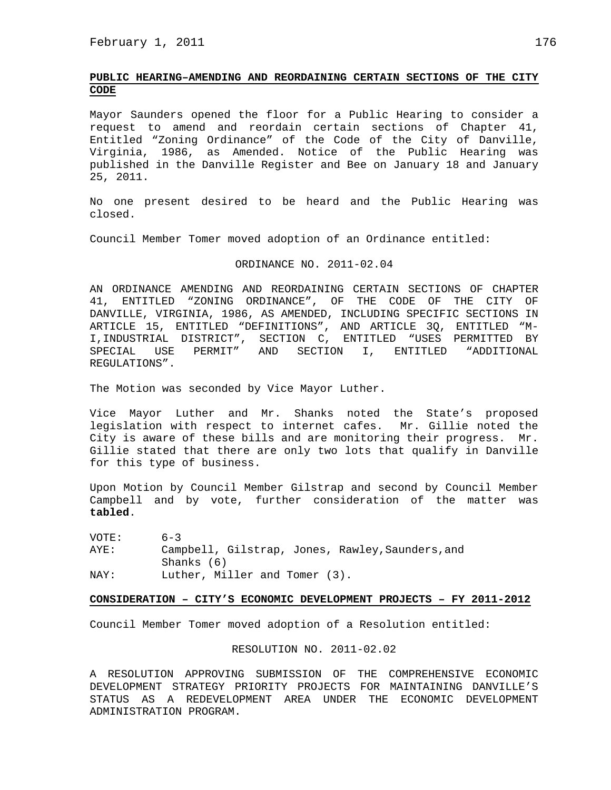# **PUBLIC HEARING–AMENDING AND REORDAINING CERTAIN SECTIONS OF THE CITY CODE**

Mayor Saunders opened the floor for a Public Hearing to consider a request to amend and reordain certain sections of Chapter 41, Entitled "Zoning Ordinance" of the Code of the City of Danville, Virginia, 1986, as Amended. Notice of the Public Hearing was published in the Danville Register and Bee on January 18 and January 25, 2011.

No one present desired to be heard and the Public Hearing was closed.

Council Member Tomer moved adoption of an Ordinance entitled:

#### ORDINANCE NO. 2011-02.04

AN ORDINANCE AMENDING AND REORDAINING CERTAIN SECTIONS OF CHAPTER 41, ENTITLED "ZONING ORDINANCE", OF THE CODE OF THE CITY OF DANVILLE, VIRGINIA, 1986, AS AMENDED, INCLUDING SPECIFIC SECTIONS IN ARTICLE 15, ENTITLED "DEFINITIONS", AND ARTICLE 3Q, ENTITLED "M-I,INDUSTRIAL DISTRICT", SECTION C, ENTITLED "USES PERMITTED BY SPECIAL USE PERMIT" AND SECTION I, ENTITLED "ADDITIONAL REGULATIONS".

The Motion was seconded by Vice Mayor Luther.

Vice Mayor Luther and Mr. Shanks noted the State's proposed legislation with respect to internet cafes. Mr. Gillie noted the City is aware of these bills and are monitoring their progress. Mr. Gillie stated that there are only two lots that qualify in Danville for this type of business.

Upon Motion by Council Member Gilstrap and second by Council Member Campbell and by vote, further consideration of the matter was **tabled**.

VOTE: 6-3 AYE: Campbell, Gilstrap, Jones, Rawley,Saunders,and Shanks (6) NAY: Luther, Miller and Tomer (3).

# **CONSIDERATION – CITY'S ECONOMIC DEVELOPMENT PROJECTS – FY 2011-2012**

Council Member Tomer moved adoption of a Resolution entitled:

#### RESOLUTION NO. 2011-02.02

A RESOLUTION APPROVING SUBMISSION OF THE COMPREHENSIVE ECONOMIC DEVELOPMENT STRATEGY PRIORITY PROJECTS FOR MAINTAINING DANVILLE'S STATUS AS A REDEVELOPMENT AREA UNDER THE ECONOMIC DEVELOPMENT ADMINISTRATION PROGRAM.